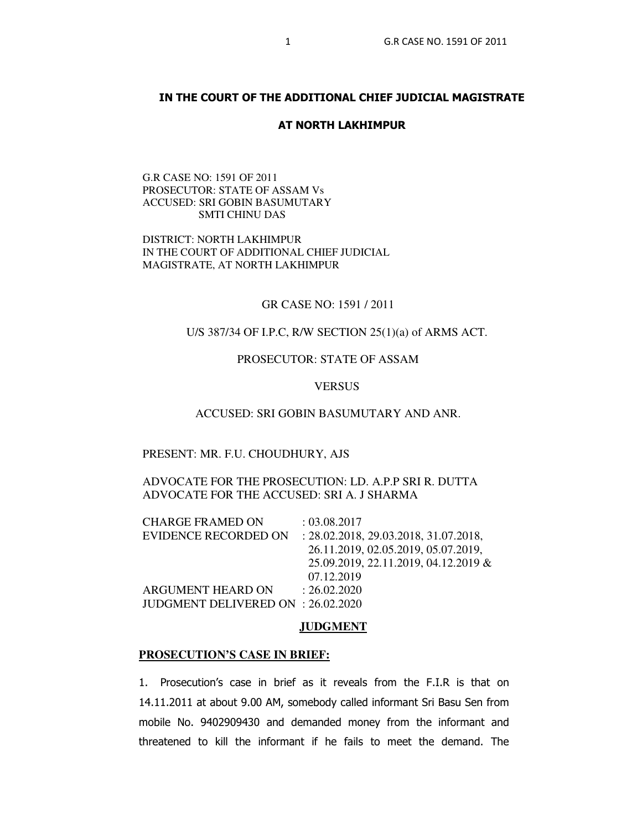# **IN THE COURT OF THE ADDITIONAL CHIEF JUDICIAL MAGISTRATE**

## **AT NORTH LAKHIMPUR**

## G.R CASE NO: 1591 OF 2011 PROSECUTOR: STATE OF ASSAM Vs ACCUSED: SRI GOBIN BASUMUTARY SMTI CHINU DAS

DISTRICT: NORTH LAKHIMPUR IN THE COURT OF ADDITIONAL CHIEF JUDICIAL MAGISTRATE, AT NORTH LAKHIMPUR

## GR CASE NO: 1591 / 2011

# U/S 387/34 OF I.P.C, R/W SECTION 25(1)(a) of ARMS ACT.

# PROSECUTOR: STATE OF ASSAM

# **VERSUS**

#### ACCUSED: SRI GOBIN BASUMUTARY AND ANR.

#### PRESENT: MR. F.U. CHOUDHURY, AJS

ADVOCATE FOR THE PROSECUTION: LD. A.P.P SRI R. DUTTA ADVOCATE FOR THE ACCUSED: SRI A. J SHARMA

| <b>CHARGE FRAMED ON</b>            | : 03.08.2017                          |
|------------------------------------|---------------------------------------|
| <b>EVIDENCE RECORDED ON</b>        | : 28.02.2018, 29.03.2018, 31.07.2018, |
|                                    | 26.11.2019, 02.05.2019, 05.07.2019,   |
|                                    | 25.09.2019, 22.11.2019, 04.12.2019 &  |
|                                    | 07.12.2019                            |
| ARGUMENT HEARD ON                  | : 26.02.2020                          |
| JUDGMENT DELIVERED ON : 26.02.2020 |                                       |

#### **JUDGMENT**

#### **PROSECUTION'S CASE IN BRIEF:**

1. Prosecution's case in brief as it reveals from the F.I.R is that on 14.11.2011 at about 9.00 AM, somebody called informant Sri Basu Sen from mobile No. 9402909430 and demanded money from the informant and threatened to kill the informant if he fails to meet the demand. The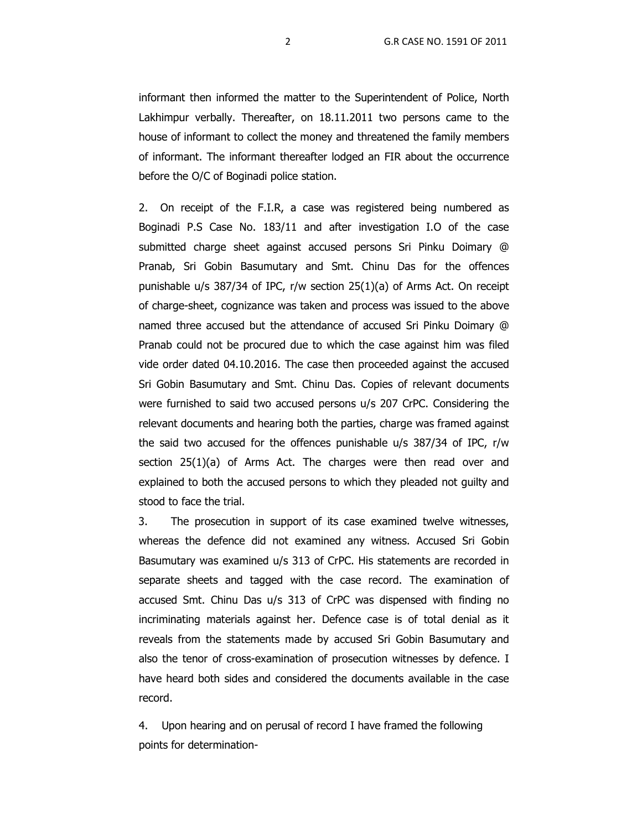informant then informed the matter to the Superintendent of Police, North Lakhimpur verbally. Thereafter, on 18.11.2011 two persons came to the house of informant to collect the money and threatened the family members of informant. The informant thereafter lodged an FIR about the occurrence before the O/C of Boginadi police station.

2. On receipt of the F.I.R, a case was registered being numbered as Boginadi P.S Case No. 183/11 and after investigation I.O of the case submitted charge sheet against accused persons Sri Pinku Doimary @ Pranab, Sri Gobin Basumutary and Smt. Chinu Das for the offences punishable u/s 387/34 of IPC, r/w section 25(1)(a) of Arms Act. On receipt of charge-sheet, cognizance was taken and process was issued to the above named three accused but the attendance of accused Sri Pinku Doimary @ Pranab could not be procured due to which the case against him was filed vide order dated 04.10.2016. The case then proceeded against the accused Sri Gobin Basumutary and Smt. Chinu Das. Copies of relevant documents were furnished to said two accused persons u/s 207 CrPC. Considering the relevant documents and hearing both the parties, charge was framed against the said two accused for the offences punishable u/s 387/34 of IPC, r/w section 25(1)(a) of Arms Act. The charges were then read over and explained to both the accused persons to which they pleaded not guilty and stood to face the trial.

 3. The prosecution in support of its case examined twelve witnesses, whereas the defence did not examined any witness. Accused Sri Gobin Basumutary was examined u/s 313 of CrPC. His statements are recorded in separate sheets and tagged with the case record. The examination of accused Smt. Chinu Das u/s 313 of CrPC was dispensed with finding no incriminating materials against her. Defence case is of total denial as it reveals from the statements made by accused Sri Gobin Basumutary and also the tenor of cross-examination of prosecution witnesses by defence. I have heard both sides and considered the documents available in the case record.

4. Upon hearing and on perusal of record I have framed the following points for determination-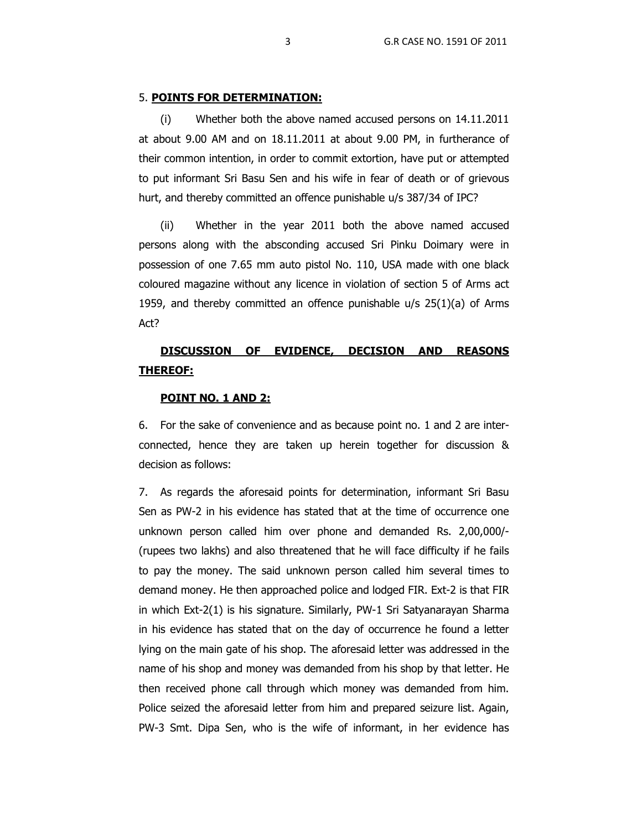#### 5. **POINTS FOR DETERMINATION:**

(i) Whether both the above named accused persons on 14.11.2011 at about 9.00 AM and on 18.11.2011 at about 9.00 PM, in furtherance of their common intention, in order to commit extortion, have put or attempted to put informant Sri Basu Sen and his wife in fear of death or of grievous hurt, and thereby committed an offence punishable u/s 387/34 of IPC?

(ii) Whether in the year 2011 both the above named accused persons along with the absconding accused Sri Pinku Doimary were in possession of one 7.65 mm auto pistol No. 110, USA made with one black coloured magazine without any licence in violation of section 5 of Arms act 1959, and thereby committed an offence punishable  $u/s$  25(1)(a) of Arms Act?

# **DISCUSSION OF EVIDENCE, DECISION AND REASONS THEREOF:**

# **POINT NO. 1 AND 2:**

6. For the sake of convenience and as because point no. 1 and 2 are interconnected, hence they are taken up herein together for discussion & decision as follows:

7. As regards the aforesaid points for determination, informant Sri Basu Sen as PW-2 in his evidence has stated that at the time of occurrence one unknown person called him over phone and demanded Rs. 2,00,000/- (rupees two lakhs) and also threatened that he will face difficulty if he fails to pay the money. The said unknown person called him several times to demand money. He then approached police and lodged FIR. Ext-2 is that FIR in which Ext-2(1) is his signature. Similarly, PW-1 Sri Satyanarayan Sharma in his evidence has stated that on the day of occurrence he found a letter lying on the main gate of his shop. The aforesaid letter was addressed in the name of his shop and money was demanded from his shop by that letter. He then received phone call through which money was demanded from him. Police seized the aforesaid letter from him and prepared seizure list. Again, PW-3 Smt. Dipa Sen, who is the wife of informant, in her evidence has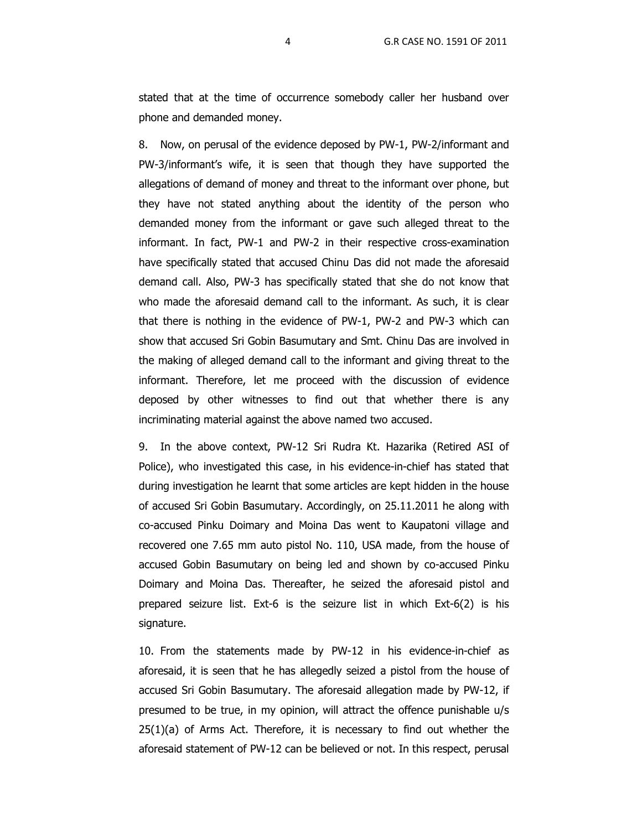stated that at the time of occurrence somebody caller her husband over phone and demanded money.

8. Now, on perusal of the evidence deposed by PW-1, PW-2/informant and PW-3/informant's wife, it is seen that though they have supported the allegations of demand of money and threat to the informant over phone, but they have not stated anything about the identity of the person who demanded money from the informant or gave such alleged threat to the informant. In fact, PW-1 and PW-2 in their respective cross-examination have specifically stated that accused Chinu Das did not made the aforesaid demand call. Also, PW-3 has specifically stated that she do not know that who made the aforesaid demand call to the informant. As such, it is clear that there is nothing in the evidence of PW-1, PW-2 and PW-3 which can show that accused Sri Gobin Basumutary and Smt. Chinu Das are involved in the making of alleged demand call to the informant and giving threat to the informant. Therefore, let me proceed with the discussion of evidence deposed by other witnesses to find out that whether there is any incriminating material against the above named two accused.

9. In the above context, PW-12 Sri Rudra Kt. Hazarika (Retired ASI of Police), who investigated this case, in his evidence-in-chief has stated that during investigation he learnt that some articles are kept hidden in the house of accused Sri Gobin Basumutary. Accordingly, on 25.11.2011 he along with co-accused Pinku Doimary and Moina Das went to Kaupatoni village and recovered one 7.65 mm auto pistol No. 110, USA made, from the house of accused Gobin Basumutary on being led and shown by co-accused Pinku Doimary and Moina Das. Thereafter, he seized the aforesaid pistol and prepared seizure list. Ext-6 is the seizure list in which Ext-6(2) is his signature.

10. From the statements made by PW-12 in his evidence-in-chief as aforesaid, it is seen that he has allegedly seized a pistol from the house of accused Sri Gobin Basumutary. The aforesaid allegation made by PW-12, if presumed to be true, in my opinion, will attract the offence punishable u/s 25(1)(a) of Arms Act. Therefore, it is necessary to find out whether the aforesaid statement of PW-12 can be believed or not. In this respect, perusal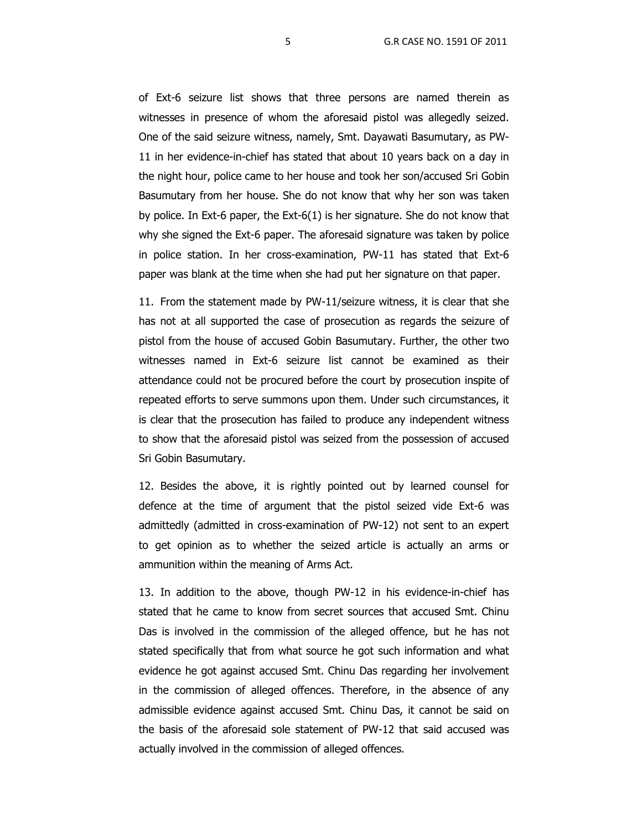of Ext-6 seizure list shows that three persons are named therein as witnesses in presence of whom the aforesaid pistol was allegedly seized. One of the said seizure witness, namely, Smt. Dayawati Basumutary, as PW-11 in her evidence-in-chief has stated that about 10 years back on a day in the night hour, police came to her house and took her son/accused Sri Gobin Basumutary from her house. She do not know that why her son was taken by police. In Ext-6 paper, the Ext-6(1) is her signature. She do not know that why she signed the Ext-6 paper. The aforesaid signature was taken by police in police station. In her cross-examination, PW-11 has stated that Ext-6 paper was blank at the time when she had put her signature on that paper.

11. From the statement made by PW-11/seizure witness, it is clear that she has not at all supported the case of prosecution as regards the seizure of pistol from the house of accused Gobin Basumutary. Further, the other two witnesses named in Ext-6 seizure list cannot be examined as their attendance could not be procured before the court by prosecution inspite of repeated efforts to serve summons upon them. Under such circumstances, it is clear that the prosecution has failed to produce any independent witness to show that the aforesaid pistol was seized from the possession of accused Sri Gobin Basumutary.

12. Besides the above, it is rightly pointed out by learned counsel for defence at the time of argument that the pistol seized vide Ext-6 was admittedly (admitted in cross-examination of PW-12) not sent to an expert to get opinion as to whether the seized article is actually an arms or ammunition within the meaning of Arms Act.

13. In addition to the above, though PW-12 in his evidence-in-chief has stated that he came to know from secret sources that accused Smt. Chinu Das is involved in the commission of the alleged offence, but he has not stated specifically that from what source he got such information and what evidence he got against accused Smt. Chinu Das regarding her involvement in the commission of alleged offences. Therefore, in the absence of any admissible evidence against accused Smt. Chinu Das, it cannot be said on the basis of the aforesaid sole statement of PW-12 that said accused was actually involved in the commission of alleged offences.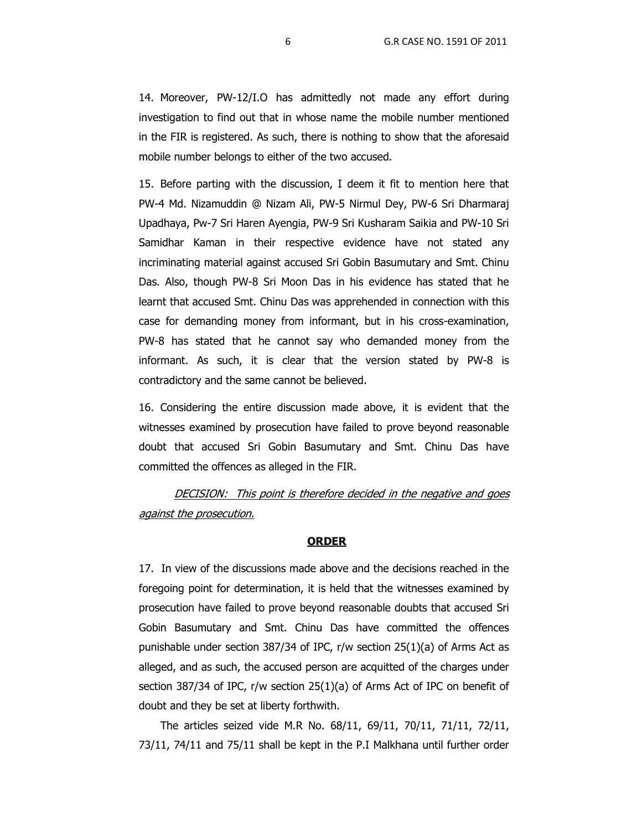14. Moreover, PW-12/I.O has admittedly not made any effort during investigation to find out that in whose name the mobile number mentioned in the FIR is registered. As such, there is nothing to show that the aforesaid mobile number belongs to either of the two accused.

15. Before parting with the discussion, I deem it fit to mention here that PW-4 Md. Nizamuddin @ Nizam Ali, PW-5 Nirmul Dey, PW-6 Sri Dharmaraj Upadhaya, Pw-7 Sri Haren Ayengia, PW-9 Sri Kusharam Saikia and PW-10 Sri Samidhar Kaman in their respective evidence have not stated any incriminating material against accused Sri Gobin Basumutary and Smt. Chinu Das. Also, though PW-8 Sri Moon Das in his evidence has stated that he learnt that accused Smt. Chinu Das was apprehended in connection with this case for demanding money from informant, but in his cross-examination, PW-8 has stated that he cannot say who demanded money from the informant. As such, it is clear that the version stated by PW-8 is contradictory and the same cannot be believed.

16. Considering the entire discussion made above, it is evident that the witnesses examined by prosecution have failed to prove beyond reasonable doubt that accused Sri Gobin Basumutary and Smt. Chinu Das have committed the offences as alleged in the FIR.

DECISION: This point is therefore decided in the negative and goes against the prosecution.

## **ORDER**

17. In view of the discussions made above and the decisions reached in the foregoing point for determination, it is held that the witnesses examined by prosecution have failed to prove beyond reasonable doubts that accused Sri Gobin Basumutary and Smt. Chinu Das have committed the offences punishable under section 387/34 of IPC, r/w section 25(1)(a) of Arms Act as alleged, and as such, the accused person are acquitted of the charges under section 387/34 of IPC, r/w section 25(1)(a) of Arms Act of IPC on benefit of doubt and they be set at liberty forthwith.

 The articles seized vide M.R No. 68/11, 69/11, 70/11, 71/11, 72/11, 73/11, 74/11 and 75/11 shall be kept in the P.I Malkhana until further order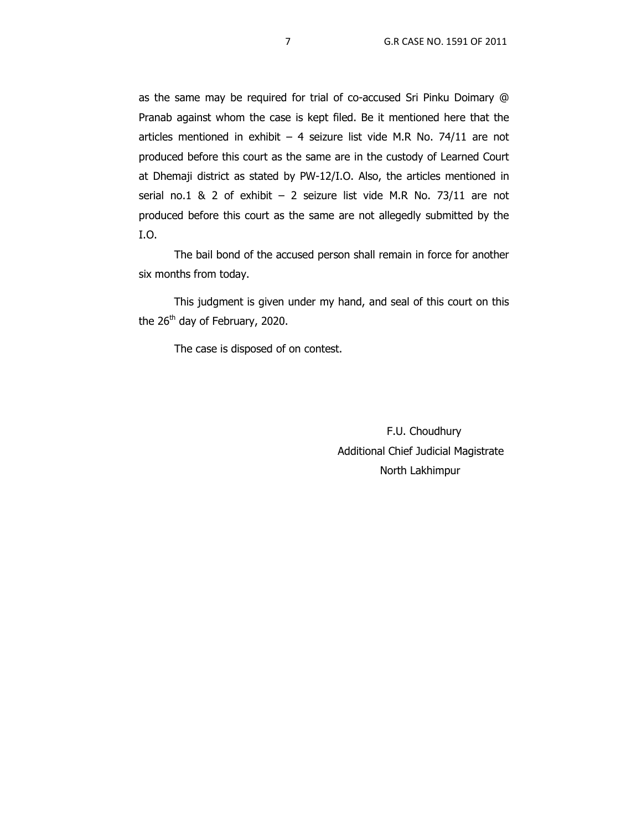as the same may be required for trial of co-accused Sri Pinku Doimary @ Pranab against whom the case is kept filed. Be it mentioned here that the articles mentioned in exhibit  $-4$  seizure list vide M.R No. 74/11 are not produced before this court as the same are in the custody of Learned Court at Dhemaji district as stated by PW-12/I.O. Also, the articles mentioned in serial no.1 & 2 of exhibit  $-$  2 seizure list vide M.R No. 73/11 are not produced before this court as the same are not allegedly submitted by the I.O.

The bail bond of the accused person shall remain in force for another six months from today.

 This judgment is given under my hand, and seal of this court on this the 26<sup>th</sup> day of February, 2020.

The case is disposed of on contest.

 F.U. Choudhury Additional Chief Judicial Magistrate North Lakhimpur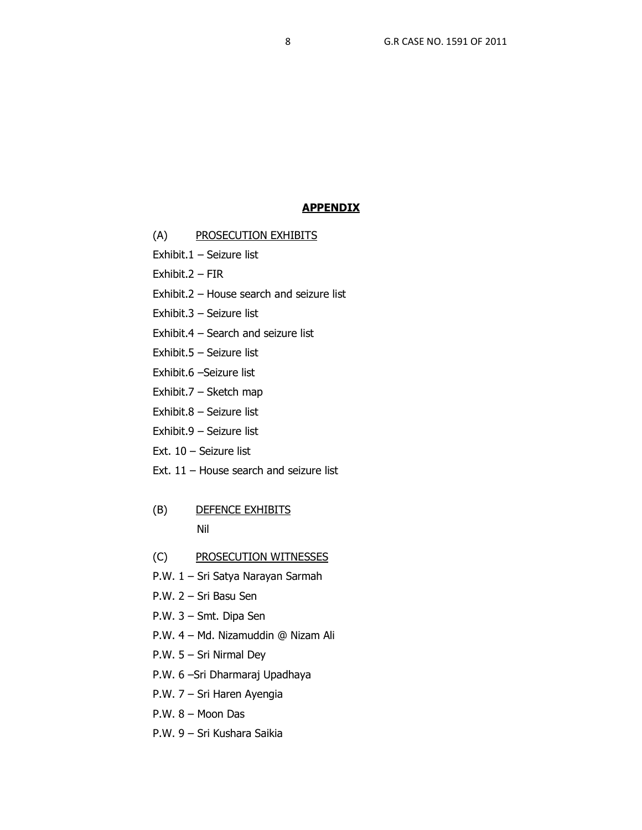## **APPENDIX**

- (A) PROSECUTION EXHIBITS
- Exhibit.1 Seizure list
- Exhibit.2 FIR
- Exhibit.2 House search and seizure list
- Exhibit.3 Seizure list
- Exhibit.4 Search and seizure list
- Exhibit.5 Seizure list
- Exhibit.6 –Seizure list
- Exhibit.7 Sketch map
- Exhibit.8 Seizure list
- Exhibit.9 Seizure list
- Ext. 10 Seizure list
- Ext. 11 House search and seizure list
- (B) DEFENCE EXHIBITS Nil
- (C) PROSECUTION WITNESSES
- P.W. 1 Sri Satya Narayan Sarmah
- P.W. 2 Sri Basu Sen
- P.W. 3 Smt. Dipa Sen
- P.W. 4 Md. Nizamuddin @ Nizam Ali
- P.W. 5 Sri Nirmal Dey
- P.W. 6 –Sri Dharmaraj Upadhaya
- P.W. 7 Sri Haren Ayengia
- P.W. 8 Moon Das
- P.W. 9 Sri Kushara Saikia